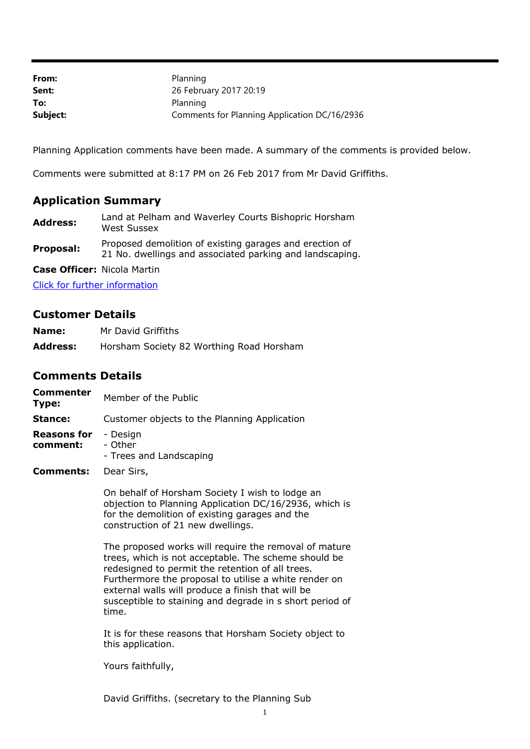| From:    | Planning                                     |
|----------|----------------------------------------------|
| Sent:    | 26 February 2017 20:19                       |
| To:      | Planning                                     |
| Subject: | Comments for Planning Application DC/16/2936 |

Planning Application comments have been made. A summary of the comments is provided below.

Comments were submitted at 8:17 PM on 26 Feb 2017 from Mr David Griffiths.

## **Application Summary**

**Address:** Land at Pelham and Waverley Courts Bishopric Horsham West Sussex

**Proposal:** Proposed demolition of existing garages and erection of 21 No. dwellings and associated parking and landscaping.

**Case Officer:** Nicola Martin

[Click for further information](https://public-access.horsham.gov.uk/public-access//centralDistribution.do?caseType=Application&keyVal=OIJ2V1IJFJV00)

## **Customer Details**

| Name:           | Mr David Griffiths                       |
|-----------------|------------------------------------------|
| <b>Address:</b> | Horsham Society 82 Worthing Road Horsham |

## **Comments Details**

| Commenter<br>Type:             | Member of the Public                           |
|--------------------------------|------------------------------------------------|
| Stance:                        | Customer objects to the Planning Application   |
| <b>Reasons for</b><br>comment: | - Design<br>- Other<br>- Trees and Landscaping |
| <b>Comments:</b>               | Dear Sirs,                                     |

On behalf of Horsham Society I wish to lodge an objection to Planning Application DC/16/2936, which is for the demolition of existing garages and the construction of 21 new dwellings.

The proposed works will require the removal of mature trees, which is not acceptable. The scheme should be redesigned to permit the retention of all trees. Furthermore the proposal to utilise a white render on external walls will produce a finish that will be susceptible to staining and degrade in s short period of time.

It is for these reasons that Horsham Society object to this application.

Yours faithfully,

David Griffiths. (secretary to the Planning Sub